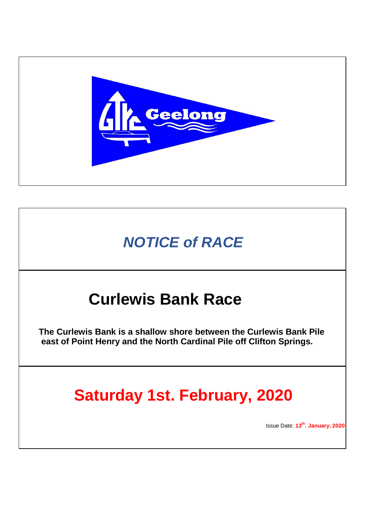

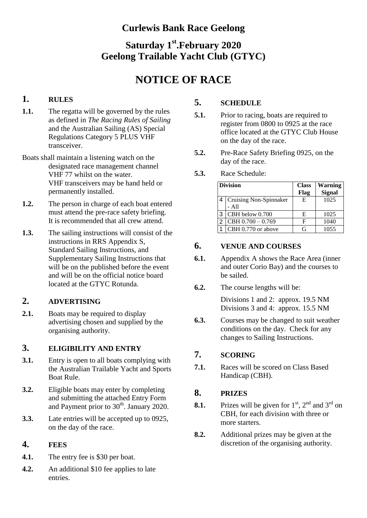## **Curlewis Bank Race Geelong**

# **Saturday 1 st .February 2020 Geelong Trailable Yacht Club (GTYC)**

# **NOTICE OF RACE**

## **1. RULES**

- **1.1.** The regatta will be governed by the rules as defined in *The Racing Rules of Sailing* and the Australian Sailing (AS) Special Regulations Category 5 PLUS VHF transceiver.
- Boats shall maintain a listening watch on the designated race management channel VHF 77 whilst on the water. VHF transceivers may be hand held or permanently installed.
- **1.2.** The person in charge of each boat entered must attend the pre-race safety briefing. It is recommended that all crew attend.
- **1.3.** The sailing instructions will consist of the instructions in RRS Appendix S, Standard Sailing Instructions, and Supplementary Sailing Instructions that will be on the published before the event and will be on the official notice board located at the GTYC Rotunda.

## **2. ADVERTISING**

2.1. Boats may be required to display advertising chosen and supplied by the organising authority.

## **3. ELIGIBILITY AND ENTRY**

- **3.1.** Entry is open to all boats complying with the Australian Trailable Yacht and Sports Boat Rule.
- **3.2.** Eligible boats may enter by completing and submitting the attached Entry Form and Payment prior to 30<sup>th</sup>. January 2020.
- **3.3.** Late entries will be accepted up to 0925, on the day of the race.

## **4. FEES**

- **4.1.** The entry fee is \$30 per boat.
- **4.2.** An additional \$10 fee applies to late entries.

## **5. SCHEDULE**

- **5.1.** Prior to racing, boats are required to register from 0800 to 0925 at the race office located at the GTYC Club House on the day of the race.
- **5.2.** Pre-Race Safety Briefing 0925, on the day of the race.
- **5.3.** Race Schedule:

|   | <b>Division</b>        | <b>Class</b><br>Flag | <b>Warning</b><br><b>Signal</b> |
|---|------------------------|----------------------|---------------------------------|
| 4 | Cruising Non-Spinnaker | E                    | 1025                            |
|   | - All                  |                      |                                 |
| 3 | CBH below 0.700        | E                    | 1025                            |
| 2 | $CRH 0.700 - 0.769$    | F                    | 1040                            |
| 1 | CBH 0.770 or above     | G                    | 1055                            |

## **6. VENUE AND COURSES**

- **6.1.** Appendix A shows the Race Area (inner and outer Corio Bay) and the courses to be sailed.
- **6.2.** The course lengths will be:

Divisions 1 and 2: approx. 19.5 NM Divisions 3 and 4: approx. 15.5 NM

**6.3.** Courses may be changed to suit weather conditions on the day. Check for any changes to Sailing Instructions.

## **7. SCORING**

**7.1.** Races will be scored on Class Based Handicap (CBH).

## **8. PRIZES**

- **8.1.** Prizes will be given for  $1<sup>st</sup>$ ,  $2<sup>nd</sup>$  and  $3<sup>rd</sup>$  on CBH, for each division with three or more starters.
- **8.2.** Additional prizes may be given at the discretion of the organising authority.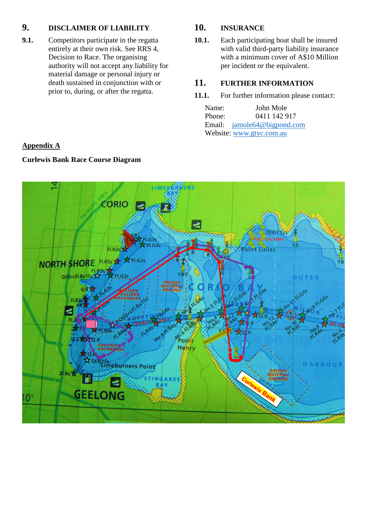## **9. DISCLAIMER OF LIABILITY**

**9.1.** Competitors participate in the regatta entirely at their own risk. See RRS 4, Decision to Race. The organising authority will not accept any liability for material damage or personal injury or death sustained in conjunction with or prior to, during, or after the regatta.

## **10. INSURANCE**

**10.1.** Each participating boat shall be insured with valid third-party liability insurance with a minimum cover of A\$10 Million per incident or the equivalent.

## **11. FURTHER INFORMATION**

#### **11.1.** For further information please contact:

| Name:                    | John Mole                   |  |  |  |
|--------------------------|-----------------------------|--|--|--|
| Phone:                   | 0411 142 917                |  |  |  |
|                          | Email: jamole64@bigpond.com |  |  |  |
| Website: www.gtyc.com.au |                             |  |  |  |

## **Appendix A**

## **Curlewis Bank Race Course Diagram**

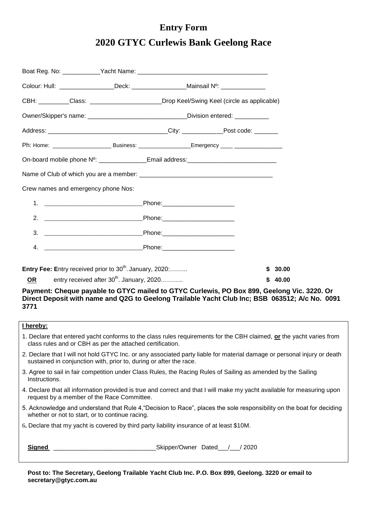# **Entry Form 2020 GTYC Curlewis Bank Geelong Race**

| Colour: Hull: __________________Deck: ___________________Mainsail Nº: ___________                                                                                                                                              |                                                |                                                                                                                                                                                                                               |   |         |  |
|--------------------------------------------------------------------------------------------------------------------------------------------------------------------------------------------------------------------------------|------------------------------------------------|-------------------------------------------------------------------------------------------------------------------------------------------------------------------------------------------------------------------------------|---|---------|--|
|                                                                                                                                                                                                                                |                                                | CBH: Class: Class: Class: Class: Class: Class: Class: Class: Class: Class: Class: Class: Class: Class: Class: Class: Class: Class: Class: Class: Class: Class: Class: Class: Class: Class: Class: Class: Class: Class: Class: |   |         |  |
|                                                                                                                                                                                                                                |                                                | Owner/Skipper's name: _________________________________Division entered: ________                                                                                                                                             |   |         |  |
|                                                                                                                                                                                                                                |                                                |                                                                                                                                                                                                                               |   |         |  |
|                                                                                                                                                                                                                                |                                                |                                                                                                                                                                                                                               |   |         |  |
| On-board mobile phone Nº: _______________Email address:_________________________                                                                                                                                               |                                                |                                                                                                                                                                                                                               |   |         |  |
|                                                                                                                                                                                                                                |                                                |                                                                                                                                                                                                                               |   |         |  |
| Crew names and emergency phone Nos:                                                                                                                                                                                            |                                                |                                                                                                                                                                                                                               |   |         |  |
|                                                                                                                                                                                                                                |                                                |                                                                                                                                                                                                                               |   |         |  |
| 2. Phone: The Phone: The Phone Phone Phone Phone Phone Phone Phone Phone Phone Phone Phone Phone Phone Phone Phone Phone Phone Phone Phone Phone Phone Phone Phone Phone Phone Phone Phone Phone Phone Phone Phone Phone Phone |                                                |                                                                                                                                                                                                                               |   |         |  |
| 3.                                                                                                                                                                                                                             |                                                |                                                                                                                                                                                                                               |   |         |  |
|                                                                                                                                                                                                                                |                                                |                                                                                                                                                                                                                               |   |         |  |
| Entry Fee: Entry received prior to 30 <sup>th</sup> . January, 2020:                                                                                                                                                           |                                                |                                                                                                                                                                                                                               |   | \$30.00 |  |
| <b>OR</b>                                                                                                                                                                                                                      | entry received after $30^{th}$ . January, 2020 |                                                                                                                                                                                                                               | S | 40.00   |  |

**Payment: Cheque payable to GTYC mailed to GTYC Curlewis, PO Box 899, Geelong Vic. 3220. Or Direct Deposit with name and Q2G to Geelong Trailable Yacht Club Inc; BSB 063512; A/c No. 0091 3771**

#### **I hereby:**

| 1. Declare that entered yacht conforms to the class rules requirements for the CBH claimed, or the yacht varies from |  |
|----------------------------------------------------------------------------------------------------------------------|--|
| class rules and or CBH as per the attached certification.                                                            |  |

- 2. Declare that I will not hold GTYC Inc. or any associated party liable for material damage or personal injury or death sustained in conjunction with, prior to, during or after the race.
- 3. Agree to sail in fair competition under Class Rules, the Racing Rules of Sailing as amended by the Sailing Instructions.
- 4. Declare that all information provided is true and correct and that I will make my yacht available for measuring upon request by a member of the Race Committee.
- 5. Acknowledge and understand that Rule 4,"Decision to Race", places the sole responsibility on the boat for deciding whether or not to start, or to continue racing.
- 6**.** Declare that my yacht is covered by third party liability insurance of at least \$10M.

**Signed** \_\_\_\_\_\_\_\_\_\_\_\_\_\_\_\_\_\_\_\_\_\_\_\_\_\_\_\_\_\_Skipper/Owner Dated\_\_\_/\_\_\_/ 2020

**Post to: The Secretary, Geelong Trailable Yacht Club Inc. P.O. Box 899, Geelong. 3220 or email to secretary@gtyc.com.au**